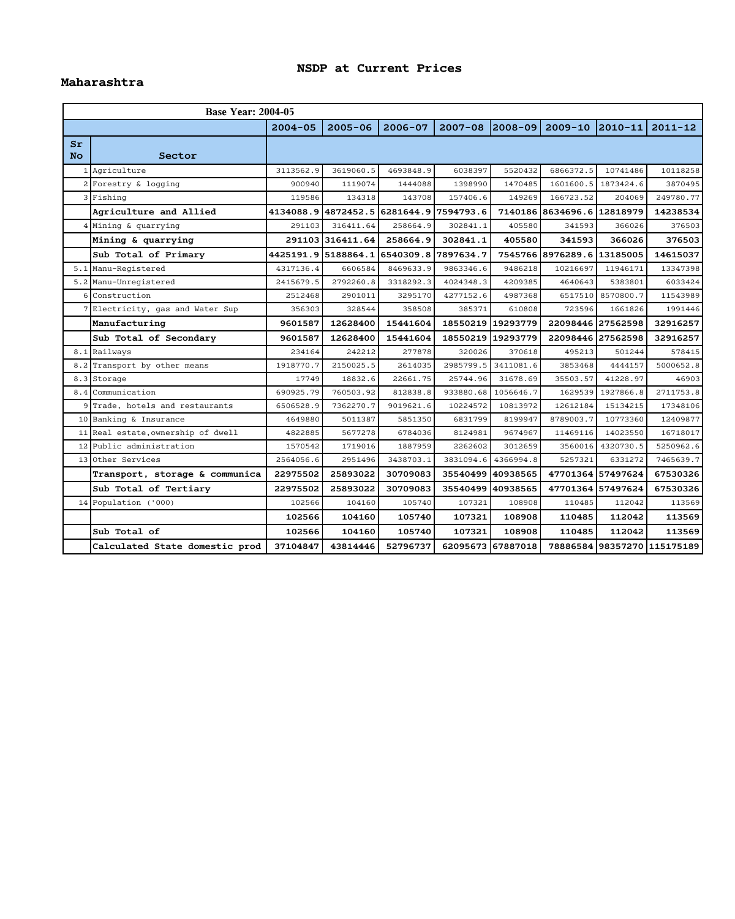## **NSDP at Current Prices**

## **Maharashtra**

|                      | <b>Base Year: 2004-05</b>          |             |                                         |             |                   |                   |                            |                   |             |  |  |  |  |
|----------------------|------------------------------------|-------------|-----------------------------------------|-------------|-------------------|-------------------|----------------------------|-------------------|-------------|--|--|--|--|
|                      |                                    | $2004 - 05$ | $2005 - 06$                             | $2006 - 07$ | $2007 - 08$       | 2008-09           | $2009 - 10$                | $ 2010 - 11 $     | $2011 - 12$ |  |  |  |  |
| $S_{r}$<br><b>No</b> | Sector                             |             |                                         |             |                   |                   |                            |                   |             |  |  |  |  |
|                      | 1 Agriculture                      | 3113562.9   | 3619060.5                               | 4693848.9   | 6038397           | 5520432           | 6866372.5                  | 10741486          | 10118258    |  |  |  |  |
|                      | 2 Forestry & logging               | 900940      | 1119074                                 | 1444088     | 1398990           | 1470485           | 1601600.5                  | 1873424.6         | 3870495     |  |  |  |  |
|                      | $3$ Fishing                        | 119586      | 134318                                  | 143708      | 157406.6          | 149269            | 166723.52                  | 204069            | 249780.77   |  |  |  |  |
|                      | Agriculture and Allied             |             | 4134088.9 4872452.5 6281644.9 7594793.6 |             |                   |                   | 7140186 8634696.6          | 12818979          | 14238534    |  |  |  |  |
|                      | $4$ Mining & quarrying             | 291103      | 316411.64                               | 258664.9    | 302841.1          | 405580            | 341593                     | 366026            | 376503      |  |  |  |  |
|                      | Mining & quarrying                 |             | 291103 316411.64                        | 258664.9    | 302841.1          | 405580            | 341593                     | 366026            | 376503      |  |  |  |  |
|                      | Sub Total of Primary               |             | 4425191.9 5188864.1 6540309.8           |             | 7897634.7         |                   | 7545766 8976289.6 13185005 |                   | 14615037    |  |  |  |  |
|                      | 5.1 Manu-Registered                | 4317136.4   | 6606584                                 | 8469633.9   | 9863346.6         | 9486218           | 10216697                   | 11946171          | 13347398    |  |  |  |  |
|                      | 5.2 Manu-Unregistered              | 2415679.5   | 2792260.8                               | 3318292.3   | 4024348.3         | 4209385           | 4640643                    | 5383801           | 6033424     |  |  |  |  |
|                      | 6 Construction                     | 2512468     | 2901011                                 | 3295170     | 4277152.6         | 4987368           | 6517510                    | 8570800.7         | 11543989    |  |  |  |  |
|                      | 7 Electricity, gas and Water Sup   | 356303      | 328544                                  | 358508      | 385371            | 610808            | 723596                     | 1661826           | 1991446     |  |  |  |  |
|                      | Manufacturing                      | 9601587     | 12628400                                | 15441604    |                   | 18550219 19293779 |                            | 22098446 27562598 | 32916257    |  |  |  |  |
|                      | Sub Total of Secondary             |             |                                         |             |                   |                   |                            |                   |             |  |  |  |  |
|                      |                                    | 9601587     | 12628400                                | 15441604    | 18550219 19293779 |                   |                            | 22098446 27562598 | 32916257    |  |  |  |  |
|                      | 8.1 Railways                       | 234164      | 242212                                  | 277878      | 320026            | 370618            | 495213                     | 501244            | 578415      |  |  |  |  |
|                      | 8.2 Transport by other means       | 1918770.7   | 2150025.5                               | 2614035     | 2985799.5         | 3411081.6         | 3853468                    | 4444157           | 5000652.8   |  |  |  |  |
|                      | $8.3$ Storage                      | 17749       | 18832.6                                 | 22661.75    | 25744.96          | 31678.69          | 35503.57                   | 41228.97          | 46903       |  |  |  |  |
|                      | 8.4 Communication                  | 690925.79   | 760503.92                               | 812838.8    | 933880.68         | 1056646.7         | 1629539                    | 1927866.8         | 2711753.8   |  |  |  |  |
|                      | 9 Trade, hotels and restaurants    | 6506528.9   | 7362270.7                               | 9019621.6   | 10224572          | 10813972          | 12612184                   | 15134215          | 17348106    |  |  |  |  |
|                      | 10 Banking & Insurance             | 4649880     | 5011387                                 | 5851350     | 6831799           | 8199947           | 8789003.7                  | 10773360          | 12409877    |  |  |  |  |
|                      | 11 Real estate, ownership of dwell | 4822885     | 5677278                                 | 6784036     | 8124981           | 9674967           | 11469116                   | 14023550          | 16718017    |  |  |  |  |
|                      | 12 Public administration           | 1570542     | 1719016                                 | 1887959     | 2262602           | 3012659           | 3560016                    | 4320730.5         | 5250962.6   |  |  |  |  |
|                      | 13 Other Services                  | 2564056.6   | 2951496                                 | 3438703.1   | 3831094.6         | 4366994.8         | 5257321                    | 6331272           | 7465639.7   |  |  |  |  |
|                      | Transport, storage & communica     | 22975502    | 25893022                                | 30709083    |                   | 35540499 40938565 |                            | 47701364 57497624 | 67530326    |  |  |  |  |
|                      | Sub Total of Tertiary              | 22975502    | 25893022                                | 30709083    | 35540499 40938565 |                   |                            | 47701364 57497624 | 67530326    |  |  |  |  |
|                      | 14 Population $('000)$             | 102566      | 104160                                  | 105740      | 107321            | 108908            | 110485                     | 112042            | 113569      |  |  |  |  |
|                      |                                    | 102566      | 104160                                  | 105740      | 107321            | 108908            | 110485                     | 112042            | 113569      |  |  |  |  |
|                      | Sub Total of                       | 102566      | 104160                                  | 105740      | 107321            | 108908            | 110485                     | 112042            | 113569      |  |  |  |  |